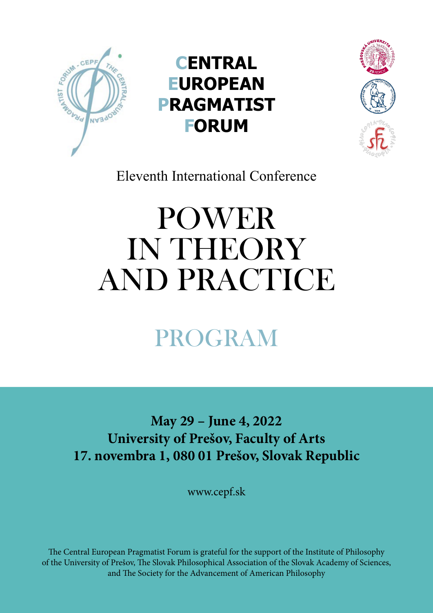

**CENTRAL EUROPEAN PRAGMATIST FORUM**



Eleventh International Conference

# **POWER** IN THEORY and Practice

# program

**May 29 – June 4, 2022 University of Prešov, Faculty of Arts 17. novembra 1, 080 01 Prešov, Slovak Republic** 

www.cepf.sk

The Central European Pragmatist Forum is grateful for the support of the Institute of Philosophy of the University of Prešov, The Slovak Philosophical Association of the Slovak Academy of Sciences, and The Society for the Advancement of American Philosophy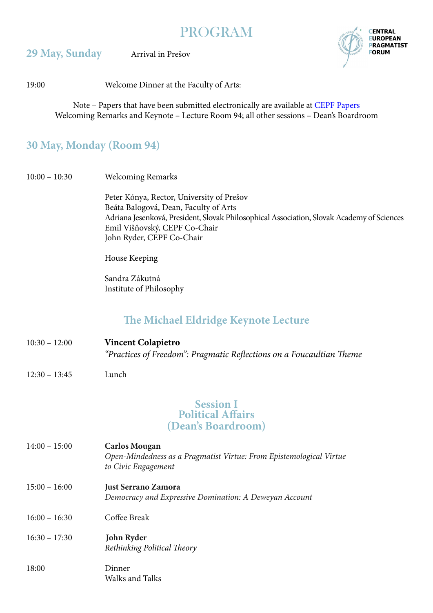| <b>PROGRAM</b> |
|----------------|
|                |

#### **29 May, Sunday** Arrival in Prešov



19:00 Welcome Dinner at the Faculty of Arts:

Note – Papers that have been submitted electronically are available at [CEPF Papers](https://drive.google.com/drive/u/0/folders/1xJbM_JZui4XfwoB3IO4u93ckHDpb7_x4) Welcoming Remarks and Keynote – Lecture Room 94; all other sessions – Dean's Boardroom

# **30 May, Monday (Room 94)**

10:00 – 10:30 Welcoming Remarks

 Peter Kónya, Rector, University of Prešov Beáta Balogová, Dean, Faculty of Arts Adriana Jesenková, President, Slovak Philosophical Association, Slovak Academy of Sciences Emil Višňovský, CEPF Co-Chair John Ryder, CEPF Co-Chair

House Keeping

 Sandra Zákutná Institute of Philosophy

# **The Michael Eldridge Keynote Lecture**

- 10:30 12:00 **Vincent Colapietro** *"Practices of Freedom": Pragmatic Reflections on a Foucaultian Theme*
- 12:30 13:45 Lunch

#### **Session I Political Affairs (Dean's Boardroom)**

| $14:00 - 15:00$ | <b>Carlos Mougan</b><br>Open-Mindedness as a Pragmatist Virtue: From Epistemological Virtue<br>to Civic Engagement |
|-----------------|--------------------------------------------------------------------------------------------------------------------|
| $15:00 - 16:00$ | <b>Just Serrano Zamora</b><br>Democracy and Expressive Domination: A Deweyan Account                               |
| $16:00 - 16:30$ | Coffee Break                                                                                                       |
| $16:30 - 17:30$ | John Ryder<br>Rethinking Political Theory                                                                          |
| 18:00           | Dinner<br>Walks and Talks                                                                                          |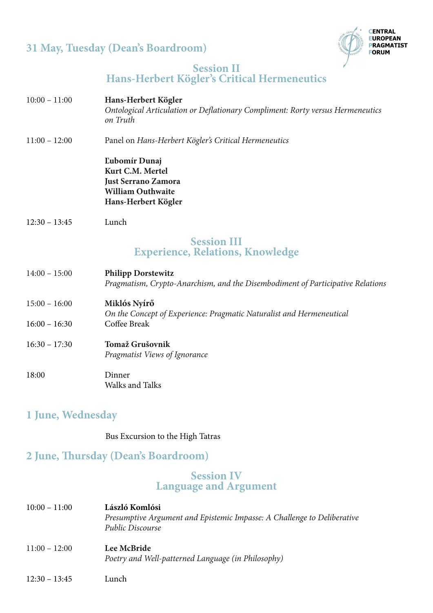# **31 May, Tuesday (Dean's Boardroom)**



#### **Session II Hans-Herbert Kögler's Critical Hermeneutics**

- 10:00 11:00 **Hans-Herbert Kögler**  *Ontological Articulation or Deflationary Compliment: Rorty versus Hermeneutics on Truth*
- 11:00 12:00 Panel on *Hans-Herbert Kögler's Critical Hermeneutics*

 **Ľubomír Dunaj Kurt C.M. Mertel Just Serrano Zamora William Outhwaite Hans-Herbert Kögler**

12:30 – 13:45 Lunch

### **Session III Experience, Relations, Knowledge**

- 14:00 15:00 **Philipp Dorstewitz**  *Pragmatism, Crypto-Anarchism, and the Disembodiment of Participative Relations*
- 15:00 16:00 **Miklós Nyírő** *On the Concept of Experience: Pragmatic Naturalist and Hermeneutical* 16:00 – 16:30 Coffee Break
- 16:30 17:30 **Tomaž Grušovnik** *Pragmatist Views of Ignorance* 18:00 Dinner Walks and Talks

# **1 June, Wednesday**

Bus Excursion to the High Tatras

# **2 June, Thursday (Dean's Boardroom)**

#### **Session IV Language and Argument**

| $10:00 - 11:00$ | László Komlósi<br>Presumptive Argument and Epistemic Impasse: A Challenge to Deliberative<br><b>Public Discourse</b> |
|-----------------|----------------------------------------------------------------------------------------------------------------------|
| $11:00 - 12:00$ | Lee McBride<br>Poetry and Well-patterned Language (in Philosophy)                                                    |
| $12:30 - 13:45$ | Lunch                                                                                                                |